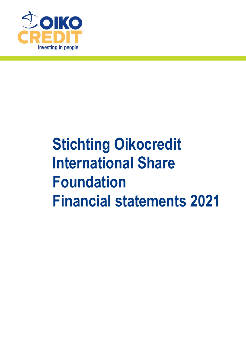

# **Stichting Oikocredit International Share Foundation Financial statements 2021**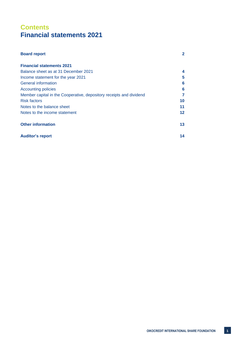# **Contents Financial statements 2021**

| <b>Board report</b>                                                 | $\mathbf 2$ |
|---------------------------------------------------------------------|-------------|
| <b>Financial statements 2021</b>                                    |             |
| Balance sheet as at 31 December 2021                                | 4           |
| Income statement for the year 2021                                  | 5           |
| <b>General information</b>                                          | 6           |
| <b>Accounting policies</b>                                          | 6           |
| Member capital in the Cooperative, depository receipts and dividend | 7           |
| <b>Risk factors</b>                                                 | 10          |
| Notes to the balance sheet                                          | 11          |
| Notes to the income statement                                       | $12 \,$     |
| <b>Other information</b>                                            | 13          |
| <b>Auditor's report</b>                                             | 14          |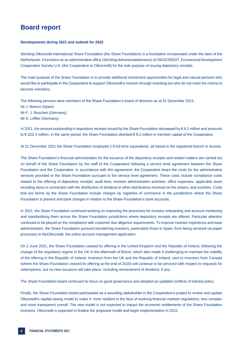# **Board report**

#### **Developments during 2021 and outlook for 2022**

Stichting Oikocredit International Share Foundation (the Share Foundation) is a foundation incorporated under the laws of the Netherlands. It functions as an administrative office (*Stichting Administratiekantoor*) of OIKOCREDIT, Ecumenical Development Cooperative Society U.A. (the Cooperative or Oikocredit) for the sole purpose of issuing depository receipts.

The main purpose of the Share Foundation is to provide additional investment opportunities for legal and natural persons who would like to participate in the Cooperative to support Oikocredit's mission through investing but who do not meet the criteria to become members.

The following persons were members of the Share Foundation's board of directors as at 31 December 2021: Mr J. Berezo (Spain) Mr F. J. Boschert (Germany) Mr K. Löffler (Germany)

In 2021, the amount outstanding in depository receipts issued by the Share Foundation decreased by € 6.2 million and amounts to € 222.3 million. In the same period, the Share Foundation divested € 6.2 million in member capital of the Cooperative.

At 31 December 2021 the Share Foundation employed 2.9 full-time equivalents, all based in the registered branch in Austria.

The Share Foundation's financial administration for the issuance of the depository receipts and related matters are carried out on behalf of the Share Foundation by the staff of the Cooperative following a service level agreement between the Share Foundation and the Cooperative. In accordance with this agreement, the Cooperative bears the costs for the administrative services provided to the Share Foundation pursuant to the service level agreement. These costs include compliance costs related to the offering of depository receipts; audit fees; investor administration activities; office expenses; applicable taxes including taxes in connection with the distribution of dividend or other distributions received on the shares; and sundries. Costs that are borne by the Share Foundation include charges by registries of commerce in the jurisdictions where the Share Foundation is present and bank charges in relation to the Share Foundation's bank accounts.

In 2021, the Share Foundation continued working on improving the processes for investor onboarding and account monitoring and standardising them across the Share Foundation jurisdictions where depository receipts are offered. Particular attention continued to be placed on the compliance with customer due diligence requirements. To improve investor experience and ease administration, the Share Foundation pursued transferring investors, particularly those in Spain, from being serviced via paper processes to MyOikocredit, the online account management application.

On 2 June 2021, the Share Foundation ceased its offering in the United Kingdom and the Republic of Ireland, following the change of the regulatory regime in the UK in the aftermath of Brexit, which also made it challenging to maintain the viability of the offering in the Republic of Ireland. Investors from the UK and the Republic of Ireland, next to investors from Canada (where the Share Foundation ceased its offering at the end of 2020) will continue to be serviced with respect to requests for redemptions, but no new issuance will take place, including reinvestment of dividend, if any.

The Share Foundation board continued its focus on good governance and adopted an updated conflicts of interest policy.

Finally, the Share Foundation board participated as a sounding stakeholder in the Cooperative's project to review and update Oikocredit's capital-raising model to make it: more resilient in the face of evolving financial markets regulations, less complex and more transparent overall. The new model is not expected to impact the economic entitlements of the Share Foundation investors. Oikocredit is expected to finalise the proposed model and begin implementation in 2022.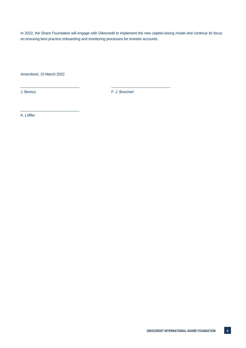In 2022, the Share Foundation will engage with Oikocredit to implement the new capital-raising model and continue its focus on ensuring best practice onboarding and monitoring processes for investor accounts.

Amersfoort, 15 March 2022

\_\_\_\_\_\_\_\_\_\_\_\_\_\_\_\_\_\_\_\_\_\_\_\_\_\_\_\_\_

J. Berezo F. J. Boschert

\_\_\_\_\_\_\_\_\_\_\_\_\_\_\_\_\_\_\_\_\_\_\_\_\_\_\_\_\_ \_\_\_\_\_\_\_\_\_\_\_\_\_\_\_\_\_\_\_\_\_\_\_\_\_\_\_\_\_

K. Löffler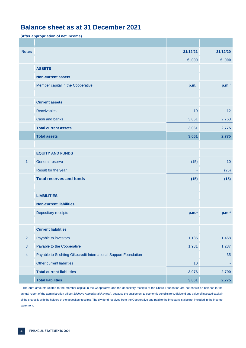# **Balance sheet as at 31 December 2021**

**(After appropriation of net income)**

| <b>Notes</b>   |                                                                  | 31/12/21          | 31/12/20          |
|----------------|------------------------------------------------------------------|-------------------|-------------------|
|                |                                                                  | €,000             | 6,000             |
|                | <b>ASSETS</b>                                                    |                   |                   |
|                | <b>Non-current assets</b>                                        |                   |                   |
|                | Member capital in the Cooperative                                | p.m. <sup>1</sup> | p.m. <sup>1</sup> |
|                |                                                                  |                   |                   |
|                | <b>Current assets</b>                                            |                   |                   |
|                | <b>Receivables</b>                                               | 10                | 12                |
|                | Cash and banks                                                   | 3,051             | 2,763             |
|                | <b>Total current assets</b>                                      | 3,061             | 2,775             |
|                | <b>Total assets</b>                                              | 3,061             | 2,775             |
|                |                                                                  |                   |                   |
|                | <b>EQUITY AND FUNDS</b>                                          |                   |                   |
| $\mathbf{1}$   | General reserve                                                  | (15)              | 10                |
|                | Result for the year                                              |                   | (25)              |
|                | <b>Total reserves and funds</b>                                  | (15)              | (15)              |
|                |                                                                  |                   |                   |
|                | <b>LIABILITIES</b>                                               |                   |                   |
|                | <b>Non-current liabilities</b>                                   |                   |                   |
|                | Depository receipts                                              | p.m. <sup>1</sup> | p.m. <sup>1</sup> |
|                |                                                                  |                   |                   |
|                | <b>Current liabilities</b>                                       |                   |                   |
| $\overline{2}$ | Payable to investors                                             | 1,135             | 1,468             |
| $\sqrt{3}$     | Payable to the Cooperative                                       | 1,931             | 1,287             |
| $\overline{4}$ | Payable to Stichting Oikocredit International Support Foundation | ۰                 | 35                |
|                | Other current liabilities                                        | 10                |                   |
|                | <b>Total current liabilities</b>                                 | 3,076             | 2,790             |
|                | <b>Total liabilities</b>                                         | 3,061             | 2,775             |

<sup>1</sup> The euro amounts related to the member capital in the Cooperative and the depository receipts of the Share Foundation are not shown on balance in the annual report of the administration office (*Stichting Administratiekantoor*), because the entitlement to economic benefits (e.g. dividend and value of invested capital) of the shares is with the holders of the depository receipts. The dividend received from the Cooperative and paid to the investors is also not included in the income statement.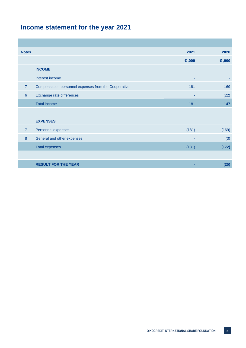# **Income statement for the year 2021**

| <b>Notes</b>   |                                                      | 2021  | 2020  |
|----------------|------------------------------------------------------|-------|-------|
|                |                                                      | €,000 | €,000 |
|                | <b>INCOME</b>                                        |       |       |
|                | Interest income                                      | ٠     |       |
| $\overline{7}$ | Compensation personnel expenses from the Cooperative | 181   | 169   |
| $6\phantom{1}$ | Exchange rate differences                            |       | (22)  |
|                | <b>Total income</b>                                  | 181   | 147   |
|                |                                                      |       |       |
|                | <b>EXPENSES</b>                                      |       |       |
| $\overline{7}$ | Personnel expenses                                   | (181) | (169) |
| 8              | General and other expenses                           |       | (3)   |
|                | <b>Total expenses</b>                                | (181) | (172) |
|                |                                                      |       |       |
|                | <b>RESULT FOR THE YEAR</b>                           |       | (25)  |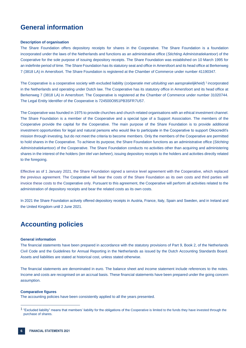## **General information**

#### **Description of organisation**

The Share Foundation offers depository receipts for shares in the Cooperative. The Share Foundation is a foundation incorporated under the laws of the Netherlands and functions as an administrative office (*Stichting Administratiekantoor*) of the Cooperative for the sole purpose of issuing depository receipts. The Share Foundation was established on 10 March 1995 for an indefinite period of time. The Share Foundation has its statutory seat and office in Amersfoort and its head office at Berkenweg 7 (3818 LA) in Amersfoort. The Share Foundation is registered at the Chamber of Commerce under number 41190347.

The Cooperative is a cooperative society with excluded liability (*coöperatie met uitsluiting van aansprakelijkheid*) <sup>1</sup> incorporated in the Netherlands and operating under Dutch law. The Cooperative has its statutory office in Amersfoort and its head office at Berkenweg 7 (3818 LA) in Amersfoort. The Cooperative is registered at the Chamber of Commerce under number 31020744. The Legal Entity Identifier of the Cooperative is 724500O951PB3SFR7U57.

The Cooperative was founded in 1975 to provide churches and church-related organisations with an ethical investment channel. The Share Foundation is a member of the Cooperative and a special type of a Support Association. The members of the Cooperative provide the capital for the Cooperative. The main purpose of the Share Foundation is to provide additional investment opportunities for legal and natural persons who would like to participate in the Cooperative to support Oikocredit's mission through investing, but do not meet the criteria to become members. Only the members of the Cooperative are permitted to hold shares in the Cooperative. To achieve its purpose, the Share Foundation functions as an administrative office (*Stichting Administratiekan*toor) of the Cooperative. The Share Foundation conducts no activities other than acquiring and administering shares in the interest of the holders (*ten titel van beheer*), issuing depository receipts to the holders and activities directly related to the foregoing.

Effective as of 1 January 2021, the Share Foundation signed a service level agreement with the Cooperative, which replaced the previous agreement. The Cooperative will bear the costs of the Share Foundation as its own costs and third parties will invoice these costs to the Cooperative only. Pursuant to this agreement, the Cooperative will perform all activities related to the administration of depository receipts and bear the related costs as its own costs.

In 2021 the Share Foundation actively offered depository receipts in Austria, France, Italy, Spain and Sweden, and in Ireland and the United Kingdom until 2 June 2021.

## **Accounting policies**

#### **General information**

The financial statements have been prepared in accordance with the statutory provisions of Part 9, Book 2, of the Netherlands Civil Code and the Guidelines for Annual Reporting in the Netherlands as issued by the Dutch Accounting Standards Board. Assets and liabilities are stated at historical cost, unless stated otherwise.

The financial statements are denominated in euro. The balance sheet and income statement include references to the notes. Income and costs are recognised on an accrual basis. These financial statements have been prepared under the going concern assumption.

#### **Comparative figures**

The accounting policies have been consistently applied to all the years presented.

<sup>1</sup> "Excluded liability" means that members' liability for the obligations of the Cooperative is limited to the funds they have invested through the purchase of shares.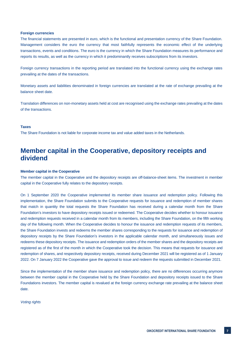#### **Foreign currencies**

The financial statements are presented in euro, which is the functional and presentation currency of the Share Foundation. Management considers the euro the currency that most faithfully represents the economic effect of the underlying transactions, events and conditions. The euro is the currency in which the Share Foundation measures its performance and reports its results, as well as the currency in which it predominantly receives subscriptions from its investors.

Foreign currency transactions in the reporting period are translated into the functional currency using the exchange rates prevailing at the dates of the transactions.

Monetary assets and liabilities denominated in foreign currencies are translated at the rate of exchange prevailing at the balance sheet date.

Translation differences on non-monetary assets held at cost are recognised using the exchange rates prevailing at the dates of the transactions.

#### **Taxes**

The Share Foundation is not liable for corporate income tax and value added taxes in the Netherlands.

## **Member capital in the Cooperative, depository receipts and dividend**

#### **Member capital in the Cooperative**

The member capital in the Cooperative and the depository receipts are off-balance-sheet items. The investment in member capital in the Cooperative fully relates to the depository receipts.

On 1 September 2020 the Cooperative implemented its member share issuance and redemption policy. Following this implementation, the Share Foundation submits to the Cooperative requests for issuance and redemption of member shares that match in quantity the total requests the Share Foundation has received during a calendar month from the Share Foundation's investors to have depository receipts issued or redeemed. The Cooperative decides whether to honour issuance and redemption requests received in a calendar month from its members, including the Share Foundation, on the fifth working day of the following month. When the Cooperative decides to honour the issuance and redemption requests of its members, the Share Foundation invests and redeems the member shares corresponding to the requests for issuance and redemption of depository receipts by the Share Foundation's investors in the applicable calendar month, and simultaneously issues and redeems these depository receipts. The issuance and redemption orders of the member shares and the depository receipts are registered as of the first of the month in which the Cooperative took the decision. This means that requests for issuance and redemption of shares, and respectively depository receipts, received during December 2021 will be registered as of 1 January 2022. On 7 January 2022 the Cooperative gave the approval to issue and redeem the requests submitted in December 2021.

Since the implementation of the member share issuance and redemption policy, there are no differences occurring anymore between the member capital in the Cooperative held by the Share Foundation and depository receipts issued to the Share Foundations investors. The member capital is revalued at the foreign currency exchange rate prevailing at the balance sheet date.

*Voting rights*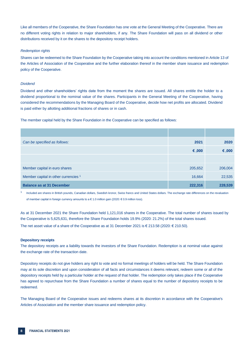Like all members of the Cooperative, the Share Foundation has one vote at the General Meeting of the Cooperative. There are no different voting rights in relation to major shareholders, if any. The Share Foundation will pass on all dividend or other distributions received by it on the shares to the depository receipt holders.

#### *Redemption rights*

Shares can be redeemed to the Share Foundation by the Cooperative taking into account the conditions mentioned in Article 13 of the Articles of Association of the Cooperative and the further elaboration thereof in the member share issuance and redemption policy of the Cooperative.

#### *Dividend*

Dividend and other shareholders' rights date from the moment the shares are issued. All shares entitle the holder to a dividend proportional to the nominal value of the shares. Participants in the General Meeting of the Cooperative, having considered the recommendations by the Managing Board of the Cooperative, decide how net profits are allocated. Dividend is paid either by allotting additional fractions of shares or in cash.

The member capital held by the Share Foundation in the Cooperative can be specified as follows:

| Can be specified as follows:                    | 2021    | 2020    |
|-------------------------------------------------|---------|---------|
|                                                 | €,000   | €,000   |
|                                                 |         |         |
| Member capital in euro shares                   | 205,652 | 206,004 |
| Member capital in other currencies <sup>1</sup> | 16,664  | 22,535  |
| <b>Balance as at 31 December</b>                | 222,316 | 228,539 |

1 Included are shares in British pounds, Canadian dollars, Swedish kronor, Swiss francs and United States dollars. The exchange rate differences on the revaluation of member capital in foreign currency amounts to a € 1.0 million gain (2020: € 0.9 million loss).

As at 31 December 2021 the Share Foundation held 1,121,016 shares in the Cooperative. The total number of shares issued by the Cooperative is 5,625,631, therefore the Share Foundation holds 19.9% (2020: 21.2%) of the total shares issued.

The net asset value of a share of the Cooperative as at 31 December 2021 is € 213.58 (2020: € 210.50).

#### **Depository receipts**

The depository receipts are a liability towards the investors of the Share Foundation. Redemption is at nominal value against the exchange rate of the transaction date.

Depository receipts do not give holders any right to vote and no formal meetings of holders will be held. The Share Foundation may at its sole discretion and upon consideration of all facts and circumstances it deems relevant, redeem some or all of the depository receipts held by a particular holder at the request of that holder. The redemption only takes place if the Cooperative has agreed to repurchase from the Share Foundation a number of shares equal to the number of depository receipts to be redeemed.

The Managing Board of the Cooperative issues and redeems shares at its discretion in accordance with the Cooperative's Articles of Association and the member share issuance and redemption policy.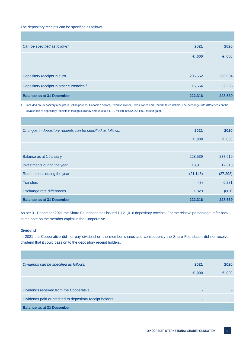The depository receipts can be specified as follows:

| Can be specified as follows:                         | 2021    | 2020    |
|------------------------------------------------------|---------|---------|
|                                                      | €,000   | €,000   |
|                                                      |         |         |
| Depository receipts in euro                          | 205,652 | 206,004 |
| Depository receipts in other currencies <sup>1</sup> | 16,664  | 22,535  |
| <b>Balance as at 31 December</b>                     | 222,316 | 228,539 |

1 Included are depository receipts in British pounds, Canadian dollars, Swedish kronor, Swiss francs and United States dollars. The exchange rate differences on the revaluation of depository receipts in foreign currency amounts to a € 1.0 million loss (2020: € 0.9 million gain).

| Changes in depository receipts can be specified as follows: | 2021      | 2020      |
|-------------------------------------------------------------|-----------|-----------|
|                                                             | €,000     | €,000     |
|                                                             |           |           |
| Balance as at 1 January                                     | 228,539   | 237,619   |
| Investments during the year                                 | 13,911    | 12,818    |
| Redemptions during the year                                 | (21, 146) | (27, 298) |
| <b>Transfers</b>                                            | (8)       | 6,281     |
| Exchange rate differences                                   | 1,020     | (881)     |
| <b>Balance as at 31 December</b>                            | 222,316   | 228,539   |

As per 31 December 2021 the Share Foundation has issued 1,121,016 depository receipts. For the relative percentage, refer back to the note on the member capital in the Cooperative.

#### **Dividend**

In 2021 the Cooperative did not pay dividend on the member shares and consequently the Share Foundation did not receive dividend that it could pass on to the depository receipt holders.

| Dividends can be specified as follows:                   | 2021  | 2020  |
|----------------------------------------------------------|-------|-------|
|                                                          | €,000 | €,000 |
|                                                          |       |       |
| Dividends received from the Cooperative                  |       |       |
| Dividends paid or credited to depository receipt holders |       |       |
| <b>Balance as at 31 December</b>                         |       |       |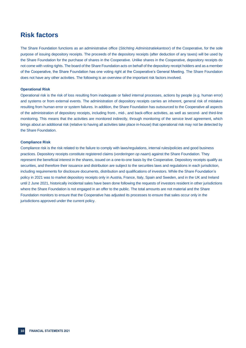## **Risk factors**

The Share Foundation functions as an administrative office (*Stichting Administratiekantoor*) of the Cooperative, for the sole purpose of issuing depository receipts. The proceeds of the depository receipts (after deduction of any taxes) will be used by the Share Foundation for the purchase of shares in the Cooperative. Unlike shares in the Cooperative, depository receipts do not come with voting rights. The board of the Share Foundation acts on behalf of the depository receipt holders and as a member of the Cooperative, the Share Foundation has one voting right at the Cooperative's General Meeting. The Share Foundation does not have any other activities. The following is an overview of the important risk factors involved.

#### **Operational Risk**

Operational risk is the risk of loss resulting from inadequate or failed internal processes, actions by people (e.g. human error) and systems or from external events. The administration of depository receipts carries an inherent, general risk of mistakes resulting from human error or system failures. In addition, the Share Foundation has outsourced to the Cooperative all aspects of the administration of depository receipts, including front-, mid-, and back-office activities, as well as second- and third-line monitoring. This means that the activities are monitored indirectly, through monitoring of the service level agreement, which brings about an additional risk (relative to having all activities take place in-house) that operational risk may not be detected by the Share Foundation.

#### **Compliance Risk**

Compliance risk is the risk related to the failure to comply with laws/regulations, internal rules/policies and good business practices. Depository receipts constitute registered claims (*vorderingen op naam*) against the Share Foundation. They represent the beneficial interest in the shares, issued on a one-to-one basis by the Cooperative. Depository receipts qualify as securities, and therefore their issuance and distribution are subject to the securities laws and regulations in each jurisdiction, including requirements for disclosure documents, distribution and qualifications of investors. While the Share Foundation's policy in 2021 was to market depository receipts only in Austria, France, Italy, Spain and Sweden, and in the UK and Ireland until 2 June 2021, historically incidental sales have been done following the requests of investors resident in other jurisdictions where the Share Foundation is not engaged in an offer to the public. The total amounts are not material and the Share Foundation monitors to ensure that the Cooperative has adjusted its processes to ensure that sales occur only in the jurisdictions approved under the current policy.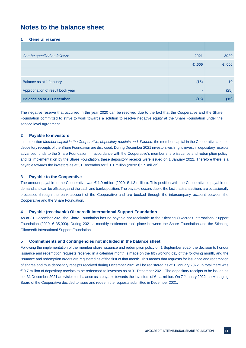# **Notes to the balance sheet**

#### **1 General reserve**

| Can be specified as follows:      | 2021  | 2020            |
|-----------------------------------|-------|-----------------|
|                                   | €,000 | €,000           |
|                                   |       |                 |
| Balance as at 1 January           | (15)  | 10 <sup>°</sup> |
| Appropriation of result book year |       | (25)            |
| <b>Balance as at 31 December</b>  | (15)  | (15)            |

The negative reserve that occurred in the year 2020 can be resolved due to the fact that the Cooperative and the Share Foundation committed to strive to work towards a solution to resolve negative equity at the Share Foundation under the service level agreement.

#### **2 Payable to investors**

In the section *Member capital in the Cooperative, depository receipts and dividend*, the member capital in the Cooperative and the depository receipts of the Share Foundation are disclosed. During December 2021 investors wishing to invest in depository receipts advanced funds to the Share Foundation. In accordance with the Cooperative's member share issuance and redemption policy, and its implementation by the Share Foundation, these depository receipts were issued on 1 January 2022. Therefore there is a payable towards the investors as at 31 December for € 1.1 million (2020: € 1.5 million).

#### **3 Payable to the Cooperative**

The amount payable to the Cooperative was  $\epsilon$  1.9 million (2020:  $\epsilon$  1.3 million). This position with the Cooperative is payable on demand and can be offset against the cash and banks position. The payable occurs due to the fact that transactions are occasionally processed through the bank account of the Cooperative and are booked through the intercompany account between the Cooperative and the Share Foundation.

#### **4 Payable (receivable) Oikocredit International Support Foundation**

As at 31 December 2021 the Share Foundation has no payable nor receivable to the Stichting Oikocredit International Support Foundation (2020: € 35,000). During 2021 a monthly settlement took place between the Share Foundation and the Stichting Oikocredit International Support Foundation.

#### **5 Commitments and contingencies not included in the balance sheet**

Following the implementation of the member share issuance and redemption policy on 1 September 2020, the decision to honour issuance and redemption requests received in a calendar month is made on the fifth working day of the following month, and the issuance and redemption orders are registered as of the first of that month. This means that requests for issuance and redemption of shares and thus depository receipts received during December 2021 will be registered as of 1 January 2022. In total there was € 0.7 million of depository receipts to be redeemed to investors as at 31 December 2021. The depository receipts to be issued as per 31 December 2021 are visible on balance as a payable towards the investors of € 1.1 million. On 7 January 2022 the Managing Board of the Cooperative decided to issue and redeem the requests submitted in December 2021.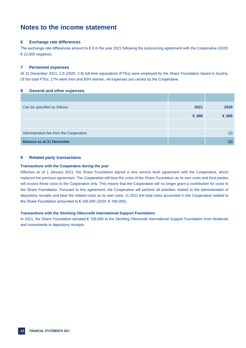# **Notes to the income statement**

#### **6 Exchange rate differences**

The exchange rate differences amount to  $\epsilon$  0 in the year 2021 following the outsourcing agreement with the Cooperative (2020: € 22,000 negative).

#### **7 Personnel expenses**

At 31 December 2021, 2.9 (2020: 2.9) full-time equivalents (FTEs) were employed by the Share Foundation based in Austria. Of the total FTEs, 17% were men and 83% women. All expenses are carried by the Cooperative.

#### **8 General and other expenses**

| Can be specified as follows:            | 2021  | 2020  |
|-----------------------------------------|-------|-------|
|                                         | €,000 | €,000 |
|                                         |       |       |
| Administration fee from the Cooperative |       | (3)   |
| <b>Balance as at 31 December</b>        |       | (3)   |

#### **9 Related party transactions**

#### **Transactions with the Cooperative during the year**

Effective as of 1 January 2021, the Share Foundation signed a new service level agreement with the Cooperative, which replaced the previous agreement. The Cooperative will bear the costs of the Share Foundation as its own costs and third parties will invoice these costs to the Cooperative only. This means that the Cooperative will no longer grant a contribution for costs to the Share Foundation. Pursuant to this agreement, the Cooperative will perform all activities related to the administration of depository receipts and bear the related costs as its own costs. In 2021 the total costs accounted in the Cooperative related to the Share Foundation amounted to € 165,000 (2020: € 189,000).

#### **Transactions with the Stichting Oikocredit International Support Foundation**

In 2021, the Share Foundation donated € 129,000 to the Stichting Oikocredit International Support Foundation from dividends and investments in depository receipts.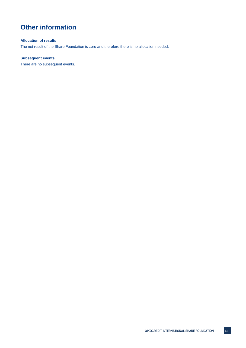# **Other information**

#### **Allocation of results**

The net result of the Share Foundation is zero and therefore there is no allocation needed.

#### **Subsequent events**

There are no subsequent events.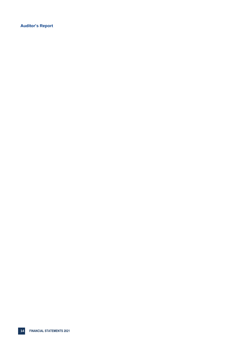**Auditor's Report**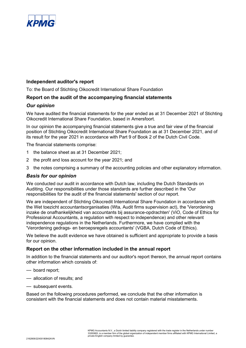

## **Independent auditor's report**

To: the Board of Stichting Oikocredit International Share Foundation

## **Report on the audit of the accompanying financial statements**

## *Our opinion*

We have audited the financial statements for the year ended as at 31 December 2021 of Stichting Oikocredit International Share Foundation, based in Amersfoort.

In our opinion the accompanying financial statements give a true and fair view of the financial position of Stichting Oikocredit International Share Foundation as at 31 December 2021, and of its result for the year 2021 in accordance with Part 9 of Book 2 of the Dutch Civil Code.

The financial statements comprise:

- 1 the balance sheet as at 31 December 2021;
- 2 the profit and loss account for the year 2021; and
- 3 the notes comprising a summary of the accounting policies and other explanatory information.

## *Basis for our opinion*

We conducted our audit in accordance with Dutch law, including the Dutch Standards on Auditing. Our responsibilities under those standards are further described in the 'Our responsibilities for the audit of the financial statements' section of our report.

We are independent of Stichting Oikocredit International Share Foundation in accordance with the Wet toezicht accountantsorganisaties (Wta, Audit firms supervision act), the 'Verordening inzake de onafhankelijkheid van accountants bij assurance-opdrachten' (ViO, Code of Ethics for Professional Accountants, a regulation with respect to independence) and other relevant independence regulations in the Netherlands. Furthermore, we have complied with the 'Verordening gedrags- en beroepsregels accountants' (VGBA, Dutch Code of Ethics).

We believe the audit evidence we have obtained is sufficient and appropriate to provide a basis for our opinion.

## **Report on the other information included in the annual report**

In addition to the financial statements and our auditor's report thereon, the annual report contains other information which consists of:

- board report;
- allocation of results; and
- subsequent events.

Based on the following procedures performed, we conclude that the other information is consistent with the financial statements and does not contain material misstatements.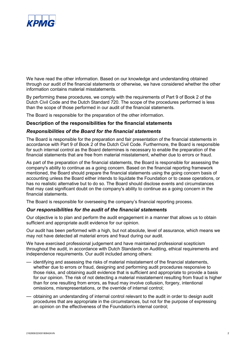

We have read the other information. Based on our knowledge and understanding obtained through our audit of the financial statements or otherwise, we have considered whether the other information contains material misstatements.

By performing these procedures, we comply with the requirements of Part 9 of Book 2 of the Dutch Civil Code and the Dutch Standard 720. The scope of the procedures performed is less than the scope of those performed in our audit of the financial statements.

The Board is responsible for the preparation of the other information.

## **Description of the responsibilities for the financial statements**

## *Responsibilities of the Board for the financial statements*

The Board is responsible for the preparation and fair presentation of the financial statements in accordance with Part 9 of Book 2 of the Dutch Civil Code. Furthermore, the Board is responsible for such internal control as the Board determines is necessary to enable the preparation of the financial statements that are free from material misstatement, whether due to errors or fraud.

As part of the preparation of the financial statements, the Board is responsible for assessing the company's ability to continue as a going concern. Based on the financial reporting framework mentioned, the Board should prepare the financial statements using the going concern basis of accounting unless the Board either intends to liquidate the Foundation or to cease operations, or has no realistic alternative but to do so. The Board should disclose events and circumstances that may cast significant doubt on the company's ability to continue as a going concern in the financial statements.

The Board is responsible for overseeing the company's financial reporting process.

## *Our responsibilities for the audit of the financial statements*

Our objective is to plan and perform the audit engagement in a manner that allows us to obtain sufficient and appropriate audit evidence for our opinion.

Our audit has been performed with a high, but not absolute, level of assurance, which means we may not have detected all material errors and fraud during our audit.

We have exercised professional judgement and have maintained professional scepticism throughout the audit, in accordance with Dutch Standards on Auditing, ethical requirements and independence requirements. Our audit included among others:

- identifying and assessing the risks of material misstatement of the financial statements, whether due to errors or fraud, designing and performing audit procedures responsive to those risks, and obtaining audit evidence that is sufficient and appropriate to provide a basis for our opinion. The risk of not detecting a material misstatement resulting from fraud is higher than for one resulting from errors, as fraud may involve collusion, forgery, intentional omissions, misrepresentations, or the override of internal control;
- obtaining an understanding of internal control relevant to the audit in order to design audit procedures that are appropriate in the circumstances, but not for the purpose of expressing an opinion on the effectiveness of the Foundation's internal control;